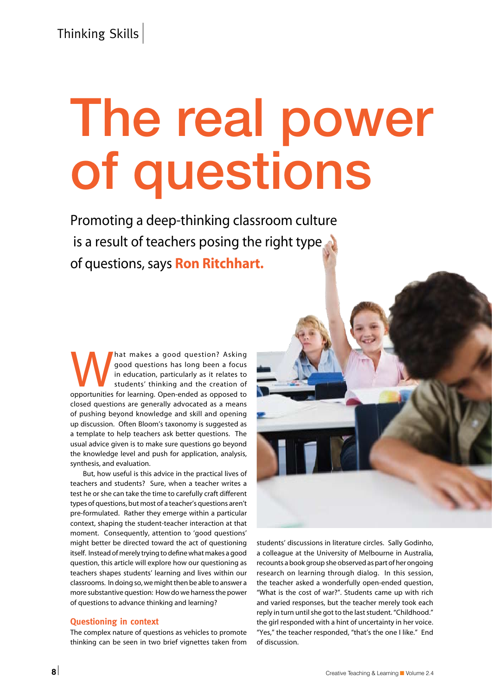# The real power of questions

Promoting a deep-thinking classroom culture is a result of teachers posing the right type of questions, says Ron Ritchhart.

All that makes a good question? Asking good questions has long been a focus in education, particularly as it relates to students' thinking and the creation of opportunities for learning. Open-ended as opposed to good questions has long been a focus in education, particularly as it relates to students' thinking and the creation of closed questions are generally advocated as a means of pushing beyond knowledge and skill and opening up discussion. Often Bloom's taxonomy is suggested as a template to help teachers ask better questions. The usual advice given is to make sure questions go beyond the knowledge level and push for application, analysis, synthesis, and evaluation.

 But, how useful is this advice in the practical lives of teachers and students? Sure, when a teacher writes a test he or she can take the time to carefully craft different types of questions, but most of a teacher's questions aren't pre-formulated. Rather they emerge within a particular context, shaping the student-teacher interaction at that moment. Consequently, attention to 'good questions' might better be directed toward the act of questioning itself. Instead of merely trying to define what makes a good question, this article will explore how our questioning as teachers shapes students' learning and lives within our classrooms. In doing so, we might then be able to answer a more substantive question: How do we harness the power of questions to advance thinking and learning?

#### **Questioning in context**

The complex nature of questions as vehicles to promote thinking can be seen in two brief vignettes taken from students' discussions in literature circles. Sally Godinho, a colleague at the University of Melbourne in Australia, recounts a book group she observed as part of her ongoing research on learning through dialog. In this session, the teacher asked a wonderfully open-ended question, "What is the cost of war?". Students came up with rich and varied responses, but the teacher merely took each reply in turn until she got to the last student. "Childhood." the girl responded with a hint of uncertainty in her voice. "Yes," the teacher responded, "that's the one I like." End of discussion.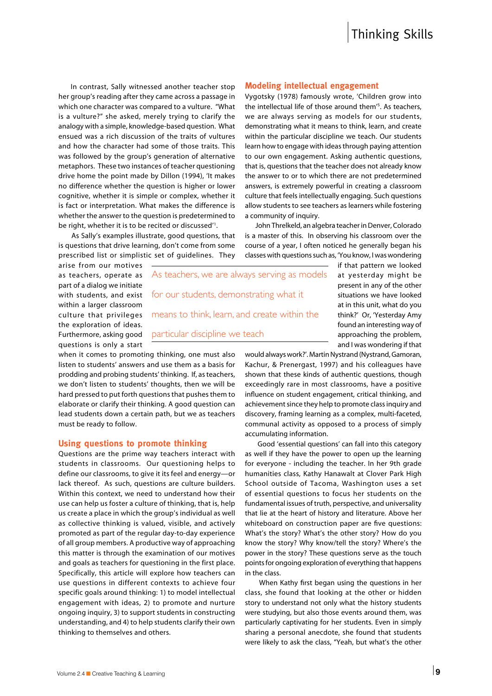In contrast, Sally witnessed another teacher stop her group's reading after they came across a passage in which one character was compared to a vulture. "What is a vulture?" she asked, merely trying to clarify the analogy with a simple, knowledge-based question. What ensued was a rich discussion of the traits of vultures and how the character had some of those traits. This was followed by the group's generation of alternative metaphors. These two instances of teacher questioning drive home the point made by Dillon (1994), 'It makes no difference whether the question is higher or lower cognitive, whether it is simple or complex, whether it is fact or interpretation. What makes the difference is whether the answer to the question is predetermined to be right, whether it is to be recited or discussed<sup>"1</sup>.

 As Sally's examples illustrate, good questions, that is questions that drive learning, don't come from some prescribed list or simplistic set of guidelines. They

#### **Modeling intellectual engagement**

Vygotsky (1978) famously wrote, 'Children grow into the intellectual life of those around them'5 . As teachers, we are always serving as models for our students, demonstrating what it means to think, learn, and create within the particular discipline we teach. Our students learn how to engage with ideas through paying attention to our own engagement. Asking authentic questions, that is, questions that the teacher does not already know the answer to or to which there are not predetermined answers, is extremely powerful in creating a classroom culture that feels intellectually engaging. Such questions allow students to see teachers as learners while fostering a community of inquiry.

 John Threlkeld, an algebra teacher in Denver, Colorado is a master of this. In observing his classroom over the course of a year, I often noticed he generally began his classes with questions such as, 'You know, I was wondering

arise from our motives as teachers, operate as part of a dialog we initiate with students, and exist within a larger classroom culture that privileges the exploration of ideas. Furthermore, asking good questions is only a start

As teachers, we are always serving as models for our students, demonstrating what it means to think, learn, and create within the particular discipline we teach

when it comes to promoting thinking, one must also listen to students' answers and use them as a basis for prodding and probing students' thinking. If, as teachers, we don't listen to students' thoughts, then we will be hard pressed to put forth questions that pushes them to elaborate or clarify their thinking. A good question can lead students down a certain path, but we as teachers must be ready to follow.

#### **Using questions to promote thinking**

Questions are the prime way teachers interact with students in classrooms. Our questioning helps to define our classrooms, to give it its feel and energy—or lack thereof. As such, questions are culture builders. Within this context, we need to understand how their use can help us foster a culture of thinking, that is, help us create a place in which the group's individual as well as collective thinking is valued, visible, and actively promoted as part of the regular day-to-day experience of all group members. A productive way of approaching this matter is through the examination of our motives and goals as teachers for questioning in the first place. Specifically, this article will explore how teachers can use questions in different contexts to achieve four specific goals around thinking: 1) to model intellectual engagement with ideas, 2) to promote and nurture ongoing inquiry, 3) to support students in constructing understanding, and 4) to help students clarify their own thinking to themselves and others.

if that pattern we looked at yesterday might be present in any of the other situations we have looked at in this unit, what do you think?' Or, 'Yesterday Amy found an interesting way of approaching the problem, and I was wondering if that

would always work?'. Martin Nystrand (Nystrand, Gamoran, Kachur, & Prenergast, 1997) and his colleagues have shown that these kinds of authentic questions, though exceedingly rare in most classrooms, have a positive influence on student engagement, critical thinking, and achievement since they help to promote class inquiry and discovery, framing learning as a complex, multi-faceted, communal activity as opposed to a process of simply accumulating information.

 Good 'essential questions' can fall into this category as well if they have the power to open up the learning for everyone - including the teacher. In her 9th grade humanities class, Kathy Hanawalt at Clover Park High School outside of Tacoma, Washington uses a set of essential questions to focus her students on the fundamental issues of truth, perspective, and universality that lie at the heart of history and literature. Above her whiteboard on construction paper are five questions: What's the story? What's the other story? How do you know the story? Why know/tell the story? Where's the power in the story? These questions serve as the touch points for ongoing exploration of everything that happens in the class.

 When Kathy first began using the questions in her class, she found that looking at the other or hidden story to understand not only what the history students were studying, but also those events around them, was particularly captivating for her students. Even in simply sharing a personal anecdote, she found that students were likely to ask the class, "Yeah, but what's the other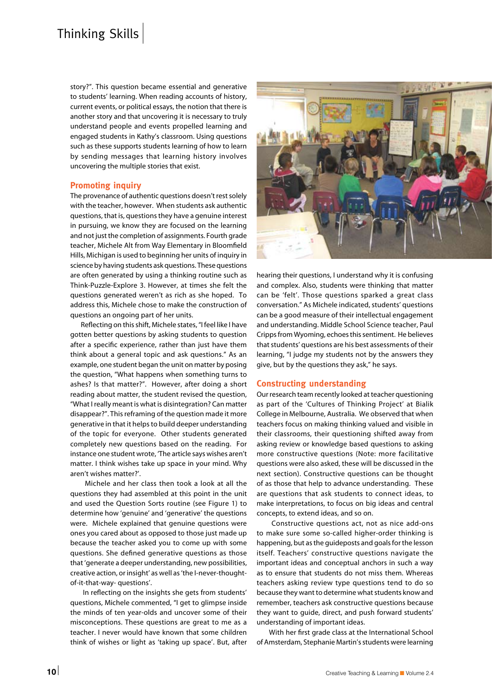## Thinking Skills

story?". This question became essential and generative to students' learning. When reading accounts of history, current events, or political essays, the notion that there is another story and that uncovering it is necessary to truly understand people and events propelled learning and engaged students in Kathy's classroom. Using questions such as these supports students learning of how to learn by sending messages that learning history involves uncovering the multiple stories that exist.

#### **Promoting inquiry**

The provenance of authentic questions doesn't rest solely with the teacher, however. When students ask authentic questions, that is, questions they have a genuine interest in pursuing, we know they are focused on the learning and not just the completion of assignments. Fourth grade teacher, Michele Alt from Way Elementary in Bloomfield Hills, Michigan is used to beginning her units of inquiry in science by having students ask questions. These questions are often generated by using a thinking routine such as Think-Puzzle-Explore 3. However, at times she felt the questions generated weren't as rich as she hoped. To address this, Michele chose to make the construction of questions an ongoing part of her units.

 Reflecting on this shift, Michele states, "I feel like I have gotten better questions by asking students to question after a specific experience, rather than just have them think about a general topic and ask questions." As an example, one student began the unit on matter by posing the question, "What happens when something turns to ashes? Is that matter?". However, after doing a short reading about matter, the student revised the question, "What I really meant is what is disintegration? Can matter disappear?". This reframing of the question made it more generative in that it helps to build deeper understanding of the topic for everyone. Other students generated completely new questions based on the reading. For instance one student wrote, 'The article says wishes aren't matter. I think wishes take up space in your mind. Why aren't wishes matter?'.

 Michele and her class then took a look at all the questions they had assembled at this point in the unit and used the Question Sorts routine (see Figure 1) to determine how 'genuine' and 'generative' the questions were. Michele explained that genuine questions were ones you cared about as opposed to those just made up because the teacher asked you to come up with some questions. She defined generative questions as those that 'generate a deeper understanding, new possibilities, creative action, or insight' as well as 'the I-never-thoughtof-it-that-way- questions'.

 In reflecting on the insights she gets from students' questions, Michele commented, "I get to glimpse inside the minds of ten year-olds and uncover some of their misconceptions. These questions are great to me as a teacher. I never would have known that some children think of wishes or light as 'taking up space'. But, after



hearing their questions, I understand why it is confusing and complex. Also, students were thinking that matter can be 'felt'. Those questions sparked a great class conversation." As Michele indicated, students' questions can be a good measure of their intellectual engagement and understanding. Middle School Science teacher, Paul Cripps from Wyoming, echoes this sentiment. He believes that students' questions are his best assessments of their learning, "I judge my students not by the answers they give, but by the questions they ask," he says.

#### **Constructing understanding**

Our research team recently looked at teacher questioning as part of the 'Cultures of Thinking Project' at Bialik College in Melbourne, Australia. We observed that when teachers focus on making thinking valued and visible in their classrooms, their questioning shifted away from asking review or knowledge based questions to asking more constructive questions (Note: more facilitative questions were also asked, these will be discussed in the next section). Constructive questions can be thought of as those that help to advance understanding. These are questions that ask students to connect ideas, to make interpretations, to focus on big ideas and central concepts, to extend ideas, and so on.

 Constructive questions act, not as nice add-ons to make sure some so-called higher-order thinking is happening, but as the guideposts and goals for the lesson itself. Teachers' constructive questions navigate the important ideas and conceptual anchors in such a way as to ensure that students do not miss them. Whereas teachers asking review type questions tend to do so because they want to determine what students know and remember, teachers ask constructive questions because they want to guide, direct, and push forward students' understanding of important ideas.

 With her first grade class at the International School of Amsterdam, Stephanie Martin's students were learning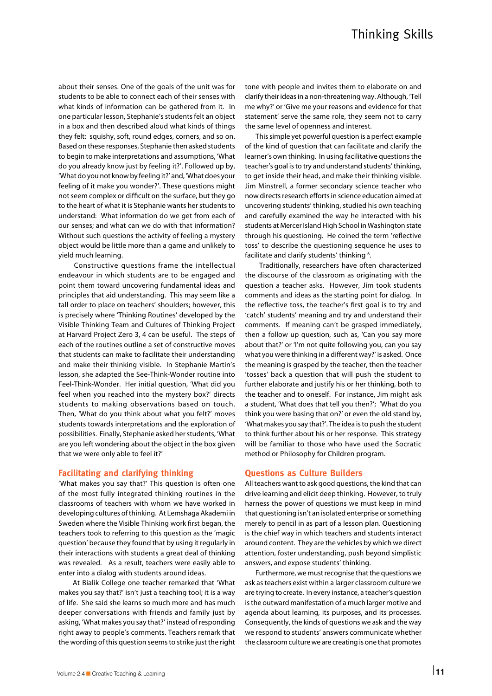about their senses. One of the goals of the unit was for students to be able to connect each of their senses with what kinds of information can be gathered from it. In one particular lesson, Stephanie's students felt an object in a box and then described aloud what kinds of things they felt: squishy, soft, round edges, corners, and so on. Based on these responses, Stephanie then asked students to begin to make interpretations and assumptions, 'What do you already know just by feeling it?'. Followed up by, 'What do you not know by feeling it?' and, 'What does your feeling of it make you wonder?'. These questions might not seem complex or difficult on the surface, but they go to the heart of what it is Stephanie wants her students to understand: What information do we get from each of our senses; and what can we do with that information? Without such questions the activity of feeling a mystery object would be little more than a game and unlikely to yield much learning.

 Constructive questions frame the intellectual endeavour in which students are to be engaged and point them toward uncovering fundamental ideas and principles that aid understanding. This may seem like a tall order to place on teachers' shoulders; however, this is precisely where 'Thinking Routines' developed by the Visible Thinking Team and Cultures of Thinking Project at Harvard Project Zero 3, 4 can be useful. The steps of each of the routines outline a set of constructive moves that students can make to facilitate their understanding and make their thinking visible. In Stephanie Martin's lesson, she adapted the See-Think-Wonder routine into Feel-Think-Wonder. Her initial question, 'What did you feel when you reached into the mystery box?' directs students to making observations based on touch. Then, 'What do you think about what you felt?' moves students towards interpretations and the exploration of possibilities. Finally, Stephanie asked her students, 'What are you left wondering about the object in the box given that we were only able to feel it?'

#### **Facilitating and clarifying thinking**

'What makes you say that?' This question is often one of the most fully integrated thinking routines in the classrooms of teachers with whom we have worked in developing cultures of thinking. At Lemshaga Akademi in Sweden where the Visible Thinking work first began, the teachers took to referring to this question as the 'magic question' because they found that by using it regularly in their interactions with students a great deal of thinking was revealed. As a result, teachers were easily able to enter into a dialog with students around ideas.

 At Bialik College one teacher remarked that 'What makes you say that?' isn't just a teaching tool; it is a way of life. She said she learns so much more and has much deeper conversations with friends and family just by asking, 'What makes you say that?' instead of responding right away to people's comments. Teachers remark that the wording of this question seems to strike just the right tone with people and invites them to elaborate on and clarify their ideas in a non-threatening way. Although, 'Tell me why?' or 'Give me your reasons and evidence for that statement' serve the same role, they seem not to carry the same level of openness and interest.

 This simple yet powerful question is a perfect example of the kind of question that can facilitate and clarify the learner's own thinking. In using facilitative questions the teacher's goal is to try and understand students' thinking, to get inside their head, and make their thinking visible. Jim Minstrell, a former secondary science teacher who now directs research efforts in science education aimed at uncovering students' thinking, studied his own teaching and carefully examined the way he interacted with his students at Mercer Island High School in Washington state through his questioning. He coined the term 'reflective toss' to describe the questioning sequence he uses to facilitate and clarify students' thinking <sup>6</sup>.

 Traditionally, researchers have often characterized the discourse of the classroom as originating with the question a teacher asks. However, Jim took students comments and ideas as the starting point for dialog. In the reflective toss, the teacher's first goal is to try and 'catch' students' meaning and try and understand their comments. If meaning can't be grasped immediately, then a follow up question, such as, 'Can you say more about that?' or 'I'm not quite following you, can you say what you were thinking in a different way?' is asked. Once the meaning is grasped by the teacher, then the teacher 'tosses' back a question that will push the student to further elaborate and justify his or her thinking, both to the teacher and to oneself. For instance, Jim might ask a student, 'What does that tell you then?'; 'What do you think you were basing that on?' or even the old stand by, 'What makes you say that?'. The idea is to push the student to think further about his or her response. This strategy will be familiar to those who have used the Socratic method or Philosophy for Children program.

#### **Questions as Culture Builders**

All teachers want to ask good questions, the kind that can drive learning and elicit deep thinking. However, to truly harness the power of questions we must keep in mind that questioning isn't an isolated enterprise or something merely to pencil in as part of a lesson plan. Questioning is the chief way in which teachers and students interact around content. They are the vehicles by which we direct attention, foster understanding, push beyond simplistic answers, and expose students' thinking.

 Furthermore, we must recognise that the questions we ask as teachers exist within a larger classroom culture we are trying to create. In every instance, a teacher's question is the outward manifestation of a much larger motive and agenda about learning, its purposes, and its processes. Consequently, the kinds of questions we ask and the way we respond to students' answers communicate whether the classroom culture we are creating is one that promotes